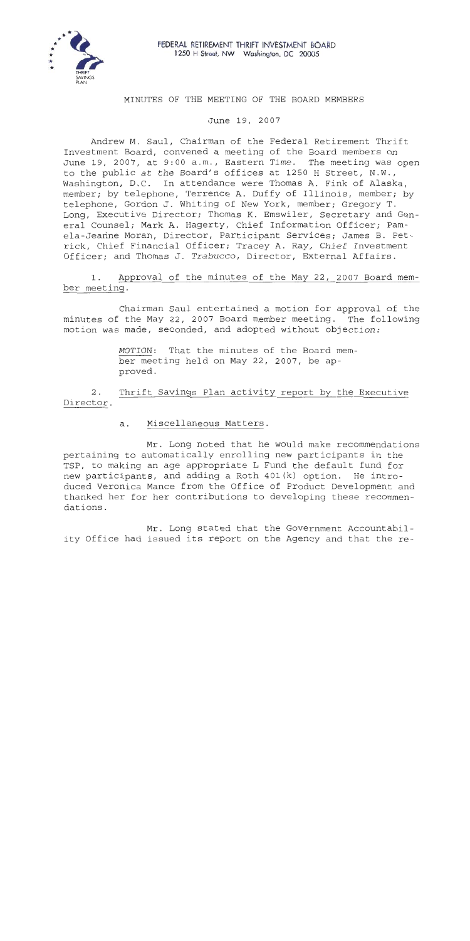

**FEDERAL RETIREMENT THRIFT INVESTMENT BOARD 1250** H **Street,** NW **Washington, DC 20005** 

### MINUTES OF THE MEETING OF THE BOARD MEMBERS

June 19, 2007

Andrew M. Saul, Chairman of the Federal Retirement Thrift Investment Board, convened a meeting of the Board members on June 19, 2007, at 9:00 a.m., Eastern Time. The meeting was open to the public at the Board's offices at 1250 H Street, N.W., Washington, D.C. In attendance were Thomas A. Fink of Alaska, member; by telephone, Terrence A. Duffy of Illinois, member; by telephone, Gordon J. Whiting of New York, member; Gregory T. Long, Executive Director; Thomas K. Emswiler, Secretary and General Counsel; Mark A. Hagerty, Chief Information Officer; Pamela-Jeanne Moran, Director, Participant Services; James B. Petrick, Chief Financial Officer; Tracey A. Ray, Chief Investment Officer; and Thomas J. Trabucco, Director, External Affairs.

1. Approval of the minutes of the May 22, 2007 Board member meeting.

Chairman Saul entertained a motion for approval of the minutes of the May 22, 2007 Board member meeting. The following motion was made, seconded, and adopted without objection:

> MOTION: That the minutes of the Board member meeting held on May 22, 2007, be approved.

**2.** Thrift Savings Plan activity report by the Executive Director.

> $a.$ Miscellaneous Matters.

Mr. Long noted that he would make recommendations pertaining to automatically enrolling new participants in the TSP, to making an age appropriate L Fund the default fund for new participants, and adding a Roth 401(k) option. He introduced Veronica Mance from the Office of Product Development and thanked her for her contributions to developing these recommendations.

Mr. Long stated that the Government Accountability Office had issued its report on the Agency and that the re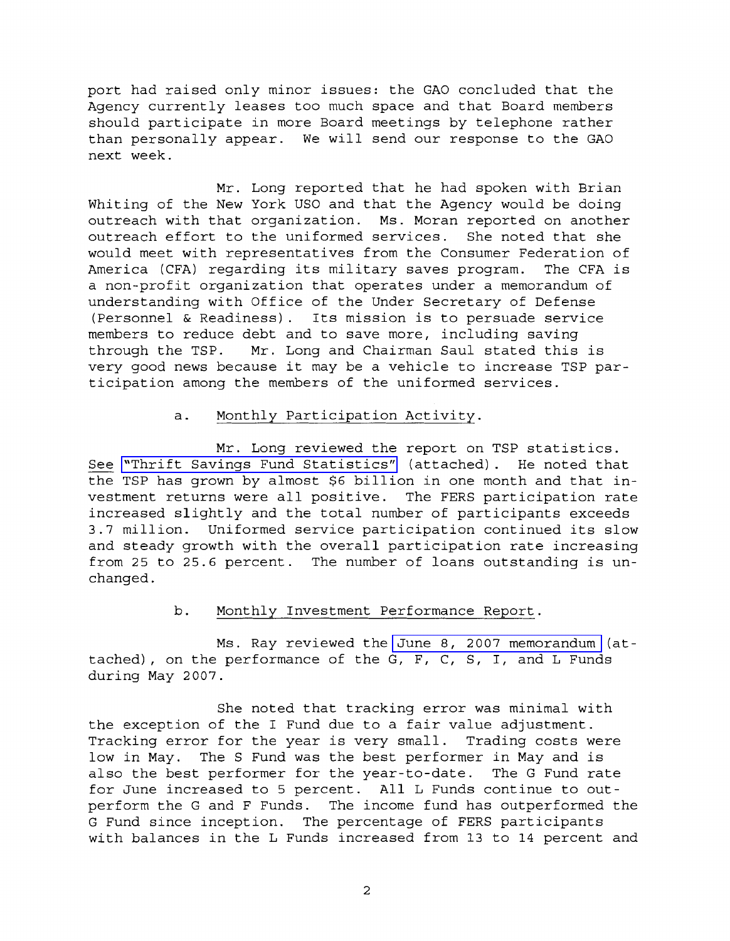port had raised only minor issues: the GAO concluded that the Agency currently leases too much space and that Board members should participate in more Board meetings by telephone rather than personally appear. We will send our response to the GAO next week.

Mr. Long reported that he had spoken with Brian Whiting of the New York US0 and that the Agency would be doing outreach with that organization. Ms. Moran reported on another outreach effort to the uniformed services. She noted that she would meet with representatives from the Consumer Federation of America (CFA) regarding its military saves program. The CFA is a non-profit organization that operates under a memorandum of understanding with Office of the Under Secretary of Defense (Personnel & Readiness). Its mission is to persuade service members to reduce debt and to save more, including saving through the TSP. Mr. Long and Chairman Saul stated this is very good news because it may be a vehicle to increase TSP participation among the members of the uniformed services.

#### a. Monthly Participation Activity.

Mr. Long reviewed the report on TSP statistics. See "Th<br>the TSE See ["Thrift Savings Fund Statistics"](MM-2007June-Att1.pdf) (attached). He noted that the TSP has grown by almost \$6 billion in one month and that investment returns were all positive. The FERS participation rate increased slightly and the total number of participants exceeds 3.7 million. Uniformed service participation continued its slow and steady growth with the overall participation rate increasing from 25 to 25.6 percent. The number of loans outstanding is unchanged.

### b. Monthly Investment Performance Report.

Ms. Ray reviewed the [June 8, 2007 memorandum](MM-2007June-Att2.pdf) (attached), on the performance of the G, F, C, S, I, and L Funds during May 2007.

She noted that tracking error was minimal with the exception of the I Fund due to a fair value adjustment. Tracking error for the year is very small. Trading costs were low in May. The S Fund was the best performer in May and is also the best performer for the year-to-date. The G Fund rate for June increased to 5 percent. All L Funds continue to outperform the G and F Funds. The income fund has outperformed the G Fund since inception. The percentage of FERS participants with balances in the L Funds increased from 13 to 14 percent and

 $\overline{2}$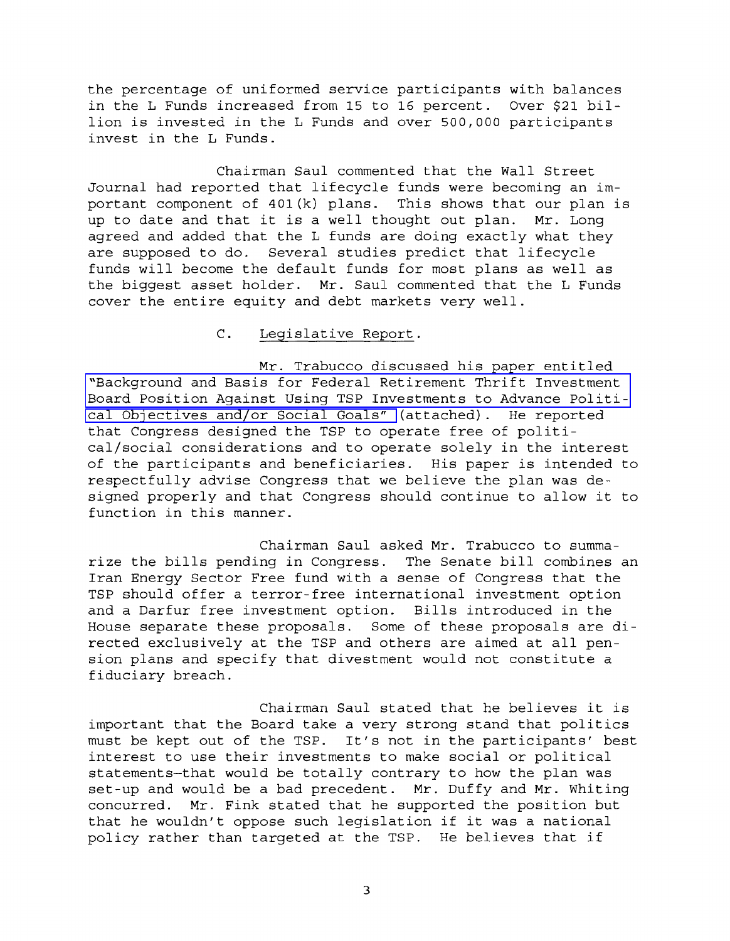the percentage of uniformed service participants with balances in the L Funds increased from 15 to 16 percent. Over \$21 billion is invested in the L Funds and over 500,000 participants invest in the L Funds.

Chairman Saul commented that the Wall Street Journal had reported that lifecycle funds were becoming an important component of 401(k) plans. This shows that our plan is up to date and that it is a well thought out plan. Mr. Long agreed and added that the L funds are doing exactly what they are supposed to do. Several studies predict that lifecycle funds will become the default funds for most plans as well as the biggest asset holder. Mr. Saul commented that the L Funds cover the entire equity and debt markets very well.

## C. Legislative Report.

Mr. Trabucco discussed his paper entitled "Background and Basis for Federal Retirement Thrift Investment [Board Position Against Using TSP Investments to Advance Politi](MM-2007June-Att3.pdf)[cal Objectives and/or Social Goals"](MM-2007June-Att3.pdf) (attached). He reported that Congress designed the TSP to operate free of political/social considerations and to operate solely in the interest of the participants and beneficiaries. His paper is intended to respectfully advise Congress that we believe the plan was designed properly and that Congress should continue to allow it to function in this manner.

Chairman Saul asked Mr. Trabucco to summarize the bills pending in Congress. The Senate bill combines an Iran Energy Sector Free fund with a sense of Congress that the TSP should offer a terror-free international investment option and a Darfur free investment option. Bills introduced in the House separate these proposals. Some of these proposals are directed exclusively at the TSP and others are aimed at all pension plans and specify that divestment would not constitute a fiduciary breach.

Chairman Saul stated that he believes it is important that the Board take a very strong stand that politics must be kept out of the TSP. It's not in the participants' best interest to use their investments to make social or political statements-that would be totally contrary to how the plan was set-up and would be a bad precedent. Mr. Duffy and Mr. Whiting concurred. Mr. Fink stated that he supported the position but that he wouldn't oppose such legislation if it was a national policy rather than targeted at the TSP. He believes that if

 $\overline{\mathbf{3}}$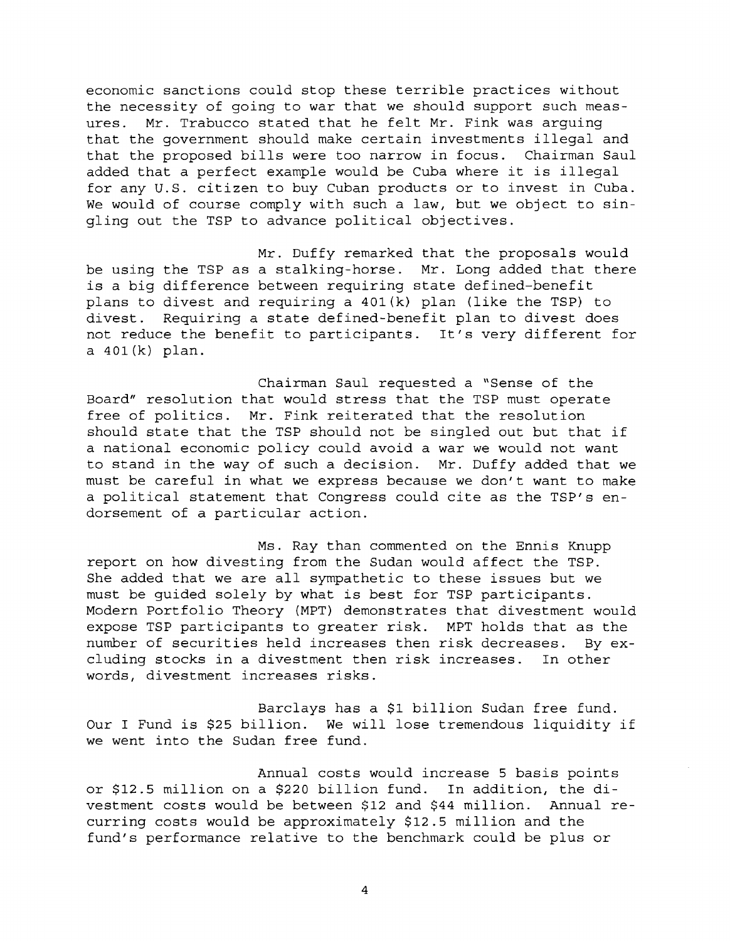economic sanctions could stop these terrible practices without the necessity of going to war that we should support such measures. Mr. Trabucco stated that he felt Mr. Fink was arguing that the government should make certain investments illegal and that the proposed bills were too narrow in focus. Chairman Saul added that a perfect example would be Cuba where it is illegal for any U.S. citizen to buy Cuban products or to invest in Cuba. We would of course comply with such a law, but we object to singling out the TSP to advance political objectives.

Mr. Duffy remarked that the proposals would be using the TSP as a stalking-horse. Mr. Long added that there is a big difference between requiring state defined-benefit plans to divest and requiring a 401(k) plan (like the TSP) to divest. Requiring a state defined-benefit plan to divest does not reduce the benefit to participants. It's very different for a 401(k) plan.

Chairman Saul requested a "Sense of the Board" resolution that would stress that the TSP must operate free of politics. Mr. Fink reiterated that the resolution should state that the TSP should not be singled out but that if a national economic policy could avoid a war we would not want to stand in the way of such a decision. Mr. Duffy added that we must be careful in what we express because we don't want to make a political statement that Congress could cite as the TSP's endorsement of a particular action.

Ms. Ray than commented on the Ennis Knupp report on how divesting from the Sudan would affect the TSP. She added that we are all sympathetic to these issues but we must be guided solely by what is best for TSP participants. Modern Portfolio Theory (MPT) demonstrates that divestment would expose TSP participants to greater risk. MPT holds that as the number of securities held increases then risk decreases. By excluding stocks in a divestment then risk increases. In other words, divestment increases risks.

Barclays has a \$1 billion Sudan free fund. Our I Fund is \$25 billion. We will lose tremendous liquidity if we went into the Sudan free fund.

Annual costs would increase 5 basis points or \$12.5 million on a \$220 billion fund. In addition, the divestment costs would be between \$12 and \$44 million. Annual recurring costs would be approximately \$12.5 million and the fund's performance relative to the benchmark could be plus or

 $\overline{4}$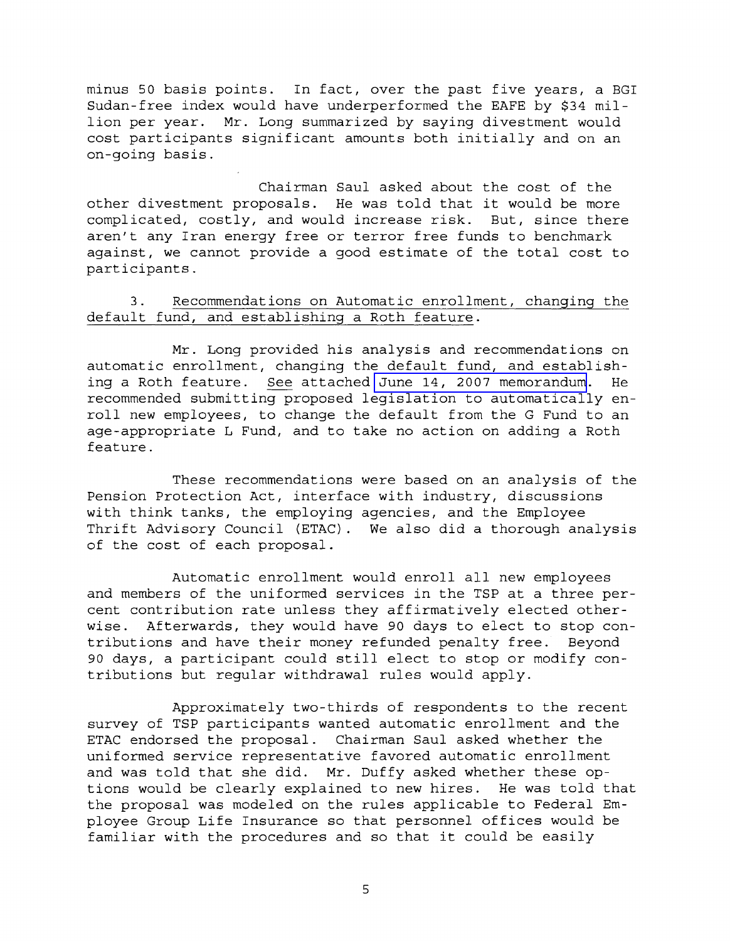minus 50 basis points. In fact, over the past five years, a BGI Sudan-free index would have underperformed the EAFE by \$34 million per year. Mr. Long summarized by saying divestment would cost participants significant amounts both initially and on an on-going basis.

Chairman Saul asked about the cost of the other divestment proposals. He was told that it would be more complicated, costly, and would increase risk. But, since there aren't any Iran energy free or terror free funds to benchmark against, we cannot provide a good estimate of the total cost to participants.

# default fund, and establishing a Roth feature. 3.

assis points. In fact, over the past five [y](MM-2007June-Att4.pdf)ears, a BGI<br>index would have underperformed the BAPE by \$34 mil-<br>ecipants significant amounts both initially and on an<br>ecipants significant amounts both initially and on an<br>extent Mr. Long provided his analysis and recommendations on automatic enrollment, changing the default fund, and establishdefault fund, and establishing a Roth feature.<br>Mr. Long provided his analysis and recommendations on<br>automatic enrollment, changing the default fund, and establish-<br>ing a Roth feature. <u>See</u> attached June 14, 2007 memorand roll new employees, to change the default from the G Fund to an age-appropriate L Fund, and to take no action on adding a Roth feature .

These recommendations were based on an analysis of the Pension Protection Act, interface with industry, discussions with think tanks, the employing agencies, and the Employee Thrift Advisory Council (ETAC). We also did a thorough analysis of the cost of each proposal.

Automatic enrollment would enroll all new employees and members of the uniformed services in the TSP at a three percent contribution rate unless they affirmatively elected otherwise. Afterwards, they would have 90 days to elect to stop contributions and have their money refunded penalty free. Beyond 90 days, a participant could still elect to stop or modify contributions but regular withdrawal rules would apply.

Approximately two-thirds of respondents to the recent survey of TSP participants wanted automatic enrollment and the ETAC endorsed the proposal. Chairman Saul asked whether the uniformed service representative favored automatic enrollment and was told that she did. Mr. Duffy asked whether these options would be clearly explained to new hires. He was told that the proposal was modeled on the rules applicable to Federal Employee Group Life Insurance so that personnel offices would be familiar with the procedures and so that it could be easily

5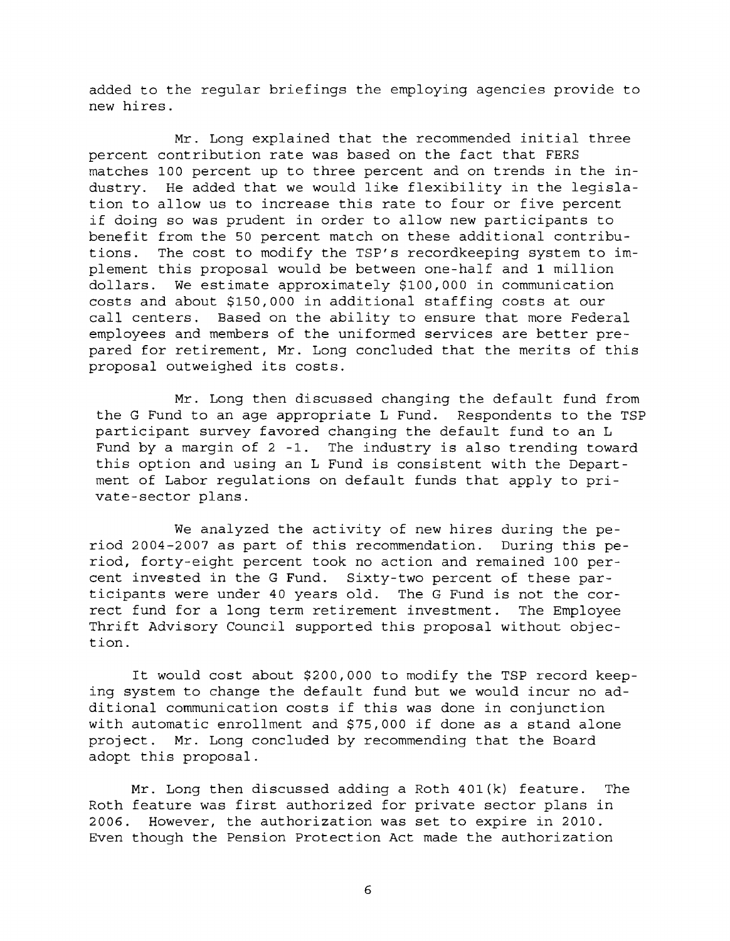added to the regular briefings the employing agencies provide to new hires.

Mr. Long explained that the recommended initial three percent contribution rate was based on the fact that FERS matches 100 percent up to three percent and on trends in the industry. He added that we would like flexibility in the legislation to allow us to increase this rate to four or five percent if doing so was prudent in order to allow new participants to benefit from the 50 percent match on these additional contributions. The cost to modify the TSP's recordkeeping system to implement this proposal would be between one-half and 1 million dollars. We estimate approximately \$100,000 in communication costs and about \$150,000 in additional staffing costs at our call centers. Based on the ability to ensure that more Federal employees and members of the uniformed services are better prepared for retirement, Mr. Long concluded that the merits of this proposal outweighed its costs.

Mr. Long then discussed changing the default fund from the G Fund to an age appropriate L Fund. Respondents to the TSP participant survey favored changing the default fund to an L Fund by a margin of 2 -1. The industry is also trending toward this option and using an L Fund is consistent with the Department of Labor regulations on default funds that apply to private-sector plans.

We analyzed the activity of new hires during the period 2004-2007 as part of this recommendation. During this period, forty-eight percent took no action and remained 100 percent invested in the G Fund. Sixty-two percent of these participants were under 40 years old. The G Fund is not the correct fund for a long term retirement investment. The Employee Thrift Advisory Council supported this proposal without objection.

It would cost about \$200,000 to modify the TSP record keeping system to change the default fund but we would incur no additional communication costs if this was done in conjunction with automatic enrollment and \$75,000 if done as a stand alone project. Mr. Long concluded by recommending that the Board adopt this proposal.

Mr. Long then discussed adding a Roth 401(k) feature. The Roth feature was first authorized for private sector plans in 2006. However, the authorization was set to expire in 2010. Even though the Pension Protection Act made the authorization

 $\epsilon$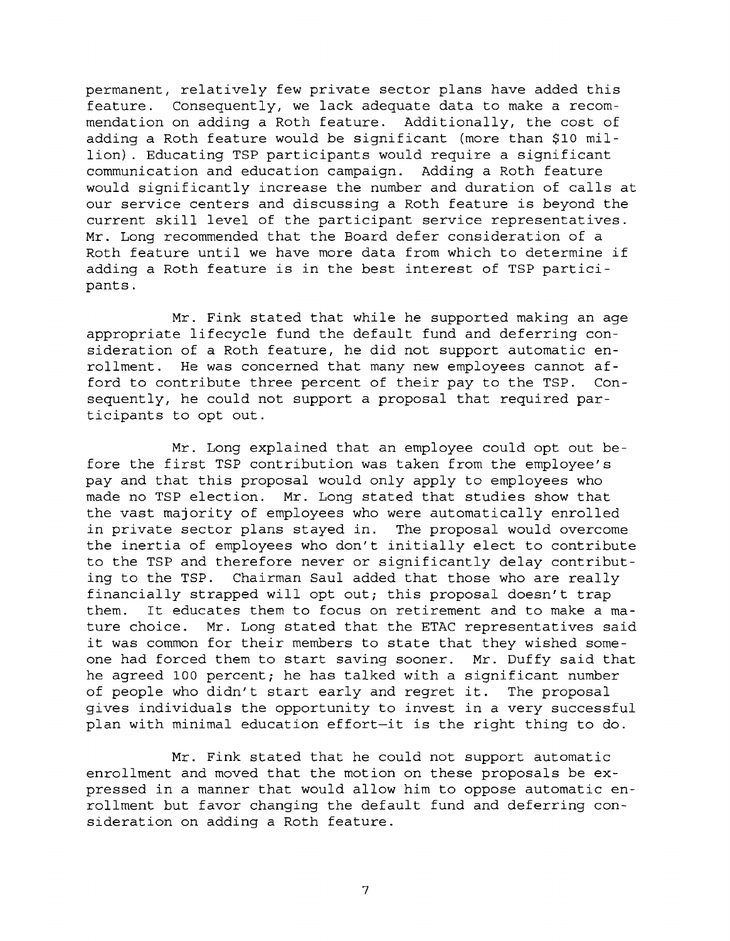permanent, relatively few private sector plans have added this feature. Consequently, we lack adequate data to make a recommendation on adding a Roth feature. Additionally, the cost of adding a Roth feature would be significant (more than \$10 million). Educating TSP participants would require a significant communication and education campaign. Adding a Roth feature would significantly increase the number and duration of calls at our service centers and discussing a Roth feature is beyond the current skill level of the participant service representatives. Mr. Long recommended that the Board defer consideration of a Roth feature until we have more data from which to determine if adding a Roth feature is in the best interest of TSP participants .

Mr. Fink stated that while he supported making an age appropriate lifecycle fund the default fund and deferring consideration of a Roth feature, he did not support automatic enrollment. He was concerned that many new employees cannot afford to contribute three percent of their pay to the TSP. Consequently, he could not support a proposal that required participants to opt out.

Mr. Long explained that an employee could opt out before the first TSP contribution was taken from the employee's pay and that this proposal would only apply to employees who made no TSP election. Mr. Long stated that studies show that the vast majority of employees who were automatically enrolled in private sector plans stayed in. The proposal would overcome the inertia of employees who don't initially elect to contribute to the TSP and therefore never or significantly delay contributing to the TSP. Chairman Saul added that those who are really financially strapped will opt out; this proposal doesn't trap them. It educates them to focus on retirement and to make a mature choice. Mr. Long stated that the ETAC representatives said it was common for their members to state that they wished someone had forced them to start saving sooner. Mr. Duffy said that he agreed 100 percent; he has talked with a significant number of people who didn't start early and regret it. The proposal gives individuals the opportunity to invest in a very successful plan with minimal education effort-it is the right thing to do.

Mr. Fink stated that he could not support automatic enrollment and moved that the motion on these proposals be expressed in a manner that would allow him to oppose automatic enrollment but favor changing the default fund and deferring consideration on adding a Roth feature.

 $\overline{7}$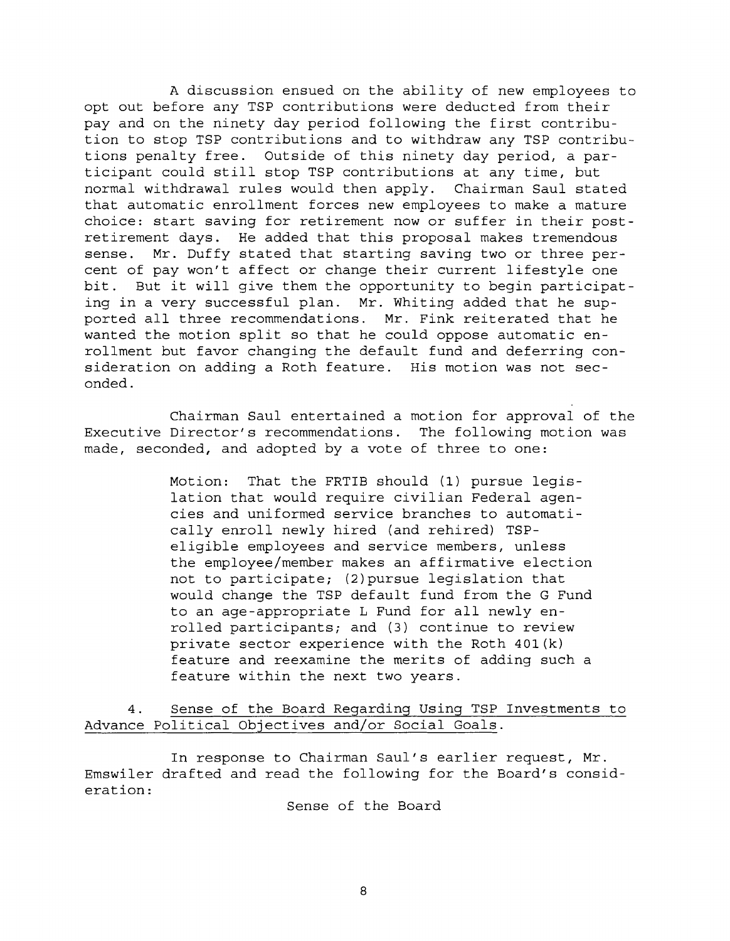A discussion ensued on the ability of new employees to opt out before any TSP contributions were deducted from their pay and on the ninety day period following the first contribution to stop TSP contributions and to withdraw any TSP contributions penalty free. Outside of this ninety day period, a participant could still stop TSP contributions at any time, but normal withdrawal rules would then apply. Chairman Saul stated that automatic enrollment forces new employees to make a mature choice: start saving for retirement now or suffer in their postretirement days. He added that this proposal makes tremendous sense. Mr. Duffy stated that starting saving two or three percent of pay won't affect or change their current lifestyle one bit. But it will give them the opportunity to begin participating in a very successful plan. Mr. Whiting added that he supported all three recommendations. Mr. Fink reiterated that he wanted the motion split so that he could oppose automatic enrollment but favor changing the default fund and deferring consideration on adding a Roth feature. His motion was not seconded.

Chairman Saul entertained a motion for approval of the Executive Director's recommendations. The following motion was made, seconded, and adopted by a vote of three to one:

> Motion: That the FRTIB should (1) pursue legislation that would require civilian Federal agencies and uniformed service branches to automatically enroll newly hired (and rehired) TSPeligible employees and service members, unless the employee/member makes an affirmative election not to participate; (2)pursue legislation that would change the TSP default fund from the G Fund to an age-appropriate L Fund for all newly enrolled participants; and (3) continue to review private sector experience with the Roth 401(k) feature and reexamine the merits of adding such a feature within the next two years.

4. Sense of the Board Regarding Using TSP Investments to Advance Political Objectives and/or Social Goals.

In response to Chairman Saul's earlier request, Mr. Emswiler drafted and read the following for the Board's consideration:

Sense of the Board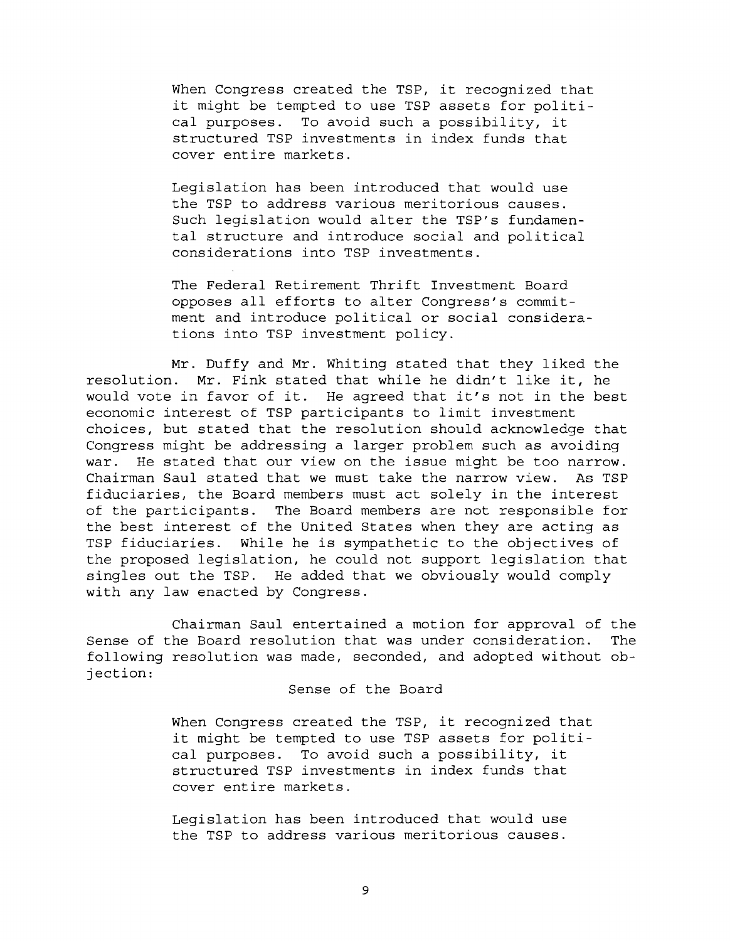When Congress created the TSP, it recognized that it might be tempted to use TSP assets for political purposes. To avoid such a possibility, it structured TSP investments in index funds that cover entire markets.

Legislation has been introduced that would use the TSP to address various meritorious causes. Such legislation would alter the TSP's fundamental structure and introduce social and political considerations into TSP investments.

The Federal Retirement Thrift Investment Board opposes all efforts to alter Congress's commitment and introduce political or social considerations into TSP investment policy.

Mr. Duffy and Mr. Whiting stated that they liked the resolution. Mr. Fink stated that while he didn't like it, he would vote in favor of it. He agreed that it's not in the best economic interest of TSP participants to limit investment choices, but stated that the resolution should acknowledge that Congress might be addressing a larger problem such as avoiding war. He stated that our view on the issue might be too narrow. Chairman Saul stated that we must take the narrow view. As TSP fiduciaries, the Board members must act solely in the interest of the participants. The Board members are not responsible for the best interest of the United States when they are acting as TSP fiduciaries. While he is sympathetic to the objectives of the proposed legislation, he could not support legislation that singles out the TSP. He added that we obviously would comply with any law enacted by Congress.

Chairman Saul entertained a motion for approval of the Sense of the Board resolution that was under consideration. The following resolution was made, seconded, and adopted without objection:

Sense of the Board

When Congress created the TSP, it recognized that it might be tempted to use TSP assets for political purposes. To avoid such a possibility, it structured TSP investments in index funds that cover entire markets.

Legislation has been introduced that would use the TSP to address various meritorious causes.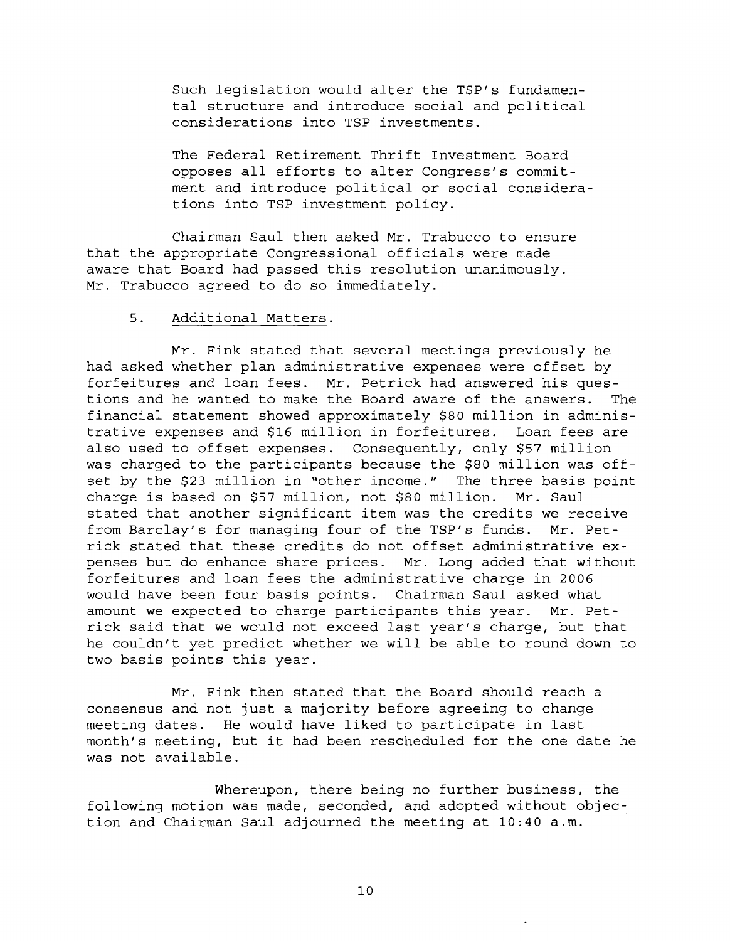Such legislation would alter the TSP's fundamental structure and introduce social and political considerations into TSP investments.

The Federal Retirement Thrift Investment Board opposes all efforts to alter Congress's commitment and introduce political or social considerations into TSP investment policy.

Chairman Saul then asked Mr. Trabucco to ensure that the appropriate Congressional officials were made aware that Board had passed this resolution unanimously. Mr. Trabucco agreed to do so immediately.

### 5. Additional Matters.

Mr. Fink stated that several meetings previously he had asked whether plan administrative expenses were offset by forfeitures and loan fees. Mr. Petrick had answered his questions and he wanted to make the Board aware of the answers. The financial statement showed approximately \$80 million in administrative expenses and \$16 million in forfeitures. Loan fees are also used to offset expenses. Consequently, only \$57 million was charged to the participants because the \$80 million was offset by the \$23 million in "other income." The three basis point charge is based on \$57 million, not \$80 million. Mr. Saul stated that another significant item was the credits we receive from Barclay's for managing four of the TSP's funds. Mr. Petrick stated that these credits do not offset administrative expenses but do enhance share prices. Mr. Long added that without forfeitures and loan fees the administrative charge in 2006 would have been four basis points. Chairman Saul asked what amount we expected to charge participants this year. Mr. Petrick said that we would not exceed last year's charge, but that he couldn't yet predict whether we will be able to round down to two basis points this year.

Mr. Fink then stated that the Board should reach a consensus and not just a majority before agreeing to change meeting dates. He would have liked to participate in last month's meeting, but it had been rescheduled for the one date he was not available.

Whereupon, there being no further business, the following motion was made, seconded, and adopted without objection and Chairman Saul adjourned the meeting at 10:40 a.m.

 $10$